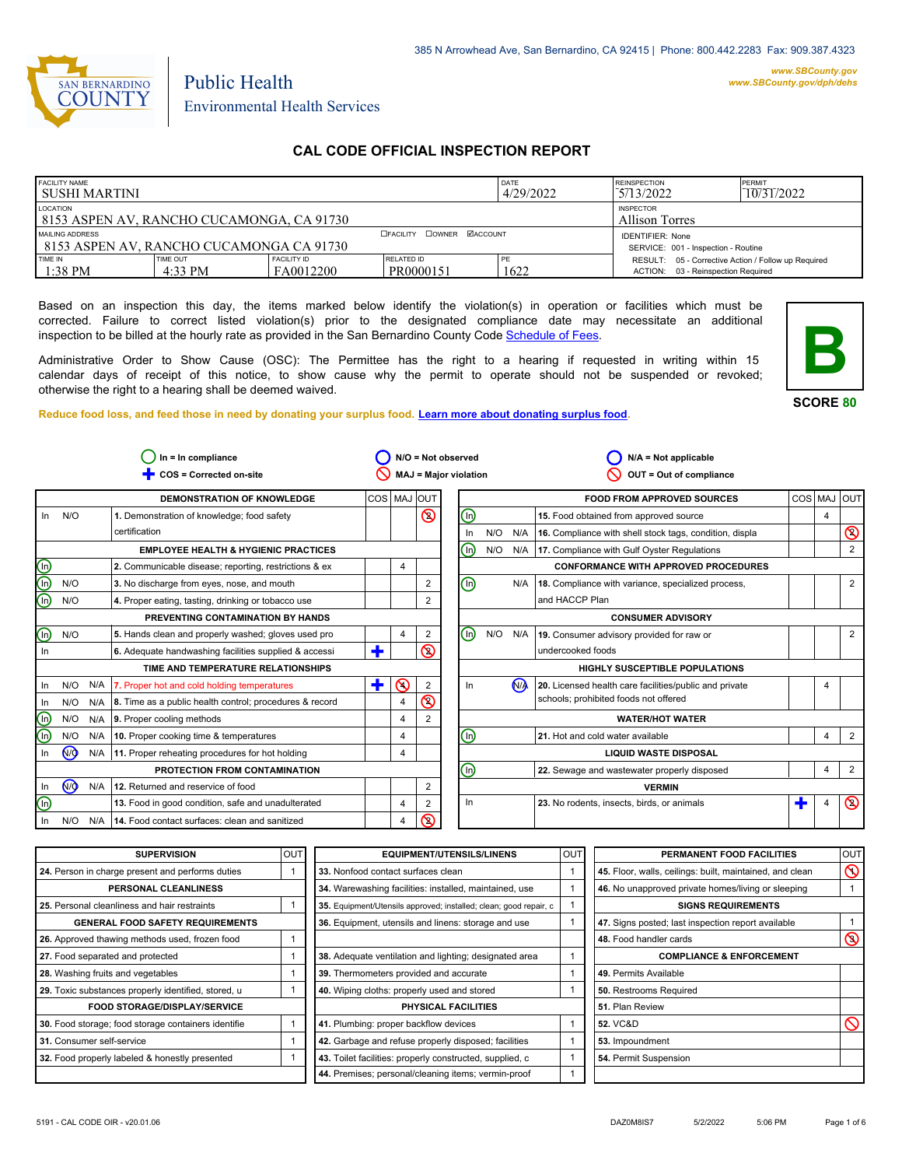

*www.SBCounty.gov [www.SBCounty.gov/dph/dehs](http://www.sbcounty.gov/dph/ehsportal)*

# Public Health Environmental Health Services

# **CAL CODE OFFICIAL INSPECTION REPORT**

| <b>FACILITY NAME</b><br>I SUSHI MARTINI                                                                     |                       |                                           | DATE<br>4/29/2022       | <b>REINSPECTION</b><br>5/13/2022 | PERMIT<br>10/31/2022                                                                      |  |
|-------------------------------------------------------------------------------------------------------------|-----------------------|-------------------------------------------|-------------------------|----------------------------------|-------------------------------------------------------------------------------------------|--|
| LOCATION<br>8153 ASPEN AV, RANCHO CUCAMONGA, CA 91730                                                       |                       | <b>INSPECTOR</b><br><b>Allison Torres</b> |                         |                                  |                                                                                           |  |
| <b>DOWNER MACCOUNT</b><br><b>EFACILITY</b><br>MAILING ADDRESS<br>1 8153 ASPEN AV. RANCHO CUCAMONGA CA 91730 |                       |                                           |                         |                                  | <b>IDENTIFIER: None</b><br>SERVICE: 001 - Inspection - Routine                            |  |
| TIME IN<br>$1:38$ PM                                                                                        | TIME OUT<br>$4:33$ PM | <b>FACILITY ID</b><br>FA0012200           | RELATED ID<br>PR0000151 | PE<br>1622                       | RESULT: 05 - Corrective Action / Follow up Required<br>ACTION: 03 - Reinspection Required |  |

Based on an inspection this day, the items marked below identify the violation(s) in operation or facilities which must be corrected. Failure to correct listed violation(s) prior to the designated compliance date may necessitate an additional inspection to be billed at the hourly rate as provided in the San Bernardino County Co[de Schedule of Fees.](https://codelibrary.amlegal.com/codes/sanbernardino/latest/sanberncty_ca/0-0-0-122474#JD_16.0213B)

Administrative Order to Show Cause (OSC): The Permittee has the right to a hearing if requested in writing within 15 calendar days of receipt of this notice, to show cause why the permit to operate should not be suspended or revoked; otherwise the right to a hearing shall be deemed waived.

**SCORE 80**

**B**

**Reduce food loss, and feed those in need by donating your surplus f[ood. Learn more about donating surplus food.](https://wp.sbcounty.gov/dph/programs/ehs/charitable-food-service/)**

| COS = Corrected on-site<br><b>DEMONSTRATION OF KNOWLEDGE</b><br>1. Demonstration of knowledge; food safety<br>certification | COS MAJ OUT                                     |                |                | <b>MAJ = Major violation</b> |     |                | OUT = Out of compliance                                 |   |             |                           |
|-----------------------------------------------------------------------------------------------------------------------------|-------------------------------------------------|----------------|----------------|------------------------------|-----|----------------|---------------------------------------------------------|---|-------------|---------------------------|
|                                                                                                                             |                                                 |                |                |                              |     |                |                                                         |   |             |                           |
|                                                                                                                             |                                                 |                |                |                              |     |                | <b>FOOD FROM APPROVED SOURCES</b>                       |   | COS MAJ OUT |                           |
|                                                                                                                             |                                                 |                | $\circledcirc$ | $\bigcirc$                   |     |                | 15. Food obtained from approved source                  |   | 4           |                           |
|                                                                                                                             |                                                 |                |                | In                           | N/O | N/A            | 16. Compliance with shell stock tags, condition, displa |   |             | $\pmb{\circlearrowright}$ |
|                                                                                                                             | <b>EMPLOYEE HEALTH &amp; HYGIENIC PRACTICES</b> |                |                | (In)                         | N/O |                | N/A 17. Compliance with Gulf Oyster Regulations         |   |             | 2                         |
| 2. Communicable disease; reporting, restrictions & ex                                                                       |                                                 | 4              |                |                              |     |                | <b>CONFORMANCE WITH APPROVED PROCEDURES</b>             |   |             |                           |
| 3. No discharge from eyes, nose, and mouth                                                                                  |                                                 |                | 2              | ⋒                            |     | N/A            | 18. Compliance with variance, specialized process,      |   |             | $\overline{2}$            |
| 4. Proper eating, tasting, drinking or tobacco use                                                                          |                                                 |                | 2              |                              |     |                | and HACCP Plan                                          |   |             |                           |
| PREVENTING CONTAMINATION BY HANDS                                                                                           |                                                 |                |                |                              |     |                | <b>CONSUMER ADVISORY</b>                                |   |             |                           |
| 5. Hands clean and properly washed; gloves used pro                                                                         |                                                 | 4              | 2              | (ŋ)                          | N/O | N/A            | 19. Consumer advisory provided for raw or               |   |             | $\overline{2}$            |
| 6. Adequate handwashing facilities supplied & accessi                                                                       | ٠                                               |                | $\circledcirc$ |                              |     |                | undercooked foods                                       |   |             |                           |
| TIME AND TEMPERATURE RELATIONSHIPS                                                                                          |                                                 |                |                |                              |     |                | <b>HIGHLY SUSCEPTIBLE POPULATIONS</b>                   |   |             |                           |
| 7. Proper hot and cold holding temperatures                                                                                 | ٠                                               | $\odot$        | 2              | In.                          |     | N <sub>A</sub> | 20. Licensed health care facilities/public and private  |   | 4           |                           |
| 8. Time as a public health control; procedures & record                                                                     |                                                 | 4              | $\circledcirc$ |                              |     |                | schools; prohibited foods not offered                   |   |             |                           |
| 9. Proper cooling methods                                                                                                   |                                                 | 4              | 2              |                              |     |                | <b>WATER/HOT WATER</b>                                  |   |             |                           |
| 10. Proper cooking time & temperatures                                                                                      |                                                 | 4              |                | ⋒                            |     |                | 21. Hot and cold water available                        |   | 4           | $\overline{2}$            |
| 11. Proper reheating procedures for hot holding                                                                             |                                                 | 4              |                |                              |     |                | <b>LIQUID WASTE DISPOSAL</b>                            |   |             |                           |
| PROTECTION FROM CONTAMINATION                                                                                               |                                                 |                |                | ⋒                            |     |                | 22. Sewage and wastewater properly disposed             |   | 4           | $\overline{2}$            |
| 12. Returned and reservice of food                                                                                          |                                                 |                | $\overline{2}$ |                              |     |                | <b>VERMIN</b>                                           |   |             |                           |
| 13. Food in good condition, safe and unadulterated                                                                          |                                                 | $\overline{4}$ | 2              | In                           |     |                | 23. No rodents, insects, birds, or animals              | ÷ | 4           | $\circledcirc$            |
| 14. Food contact surfaces: clean and sanitized                                                                              |                                                 | 4              | $\circledcirc$ |                              |     |                |                                                         |   |             |                           |
|                                                                                                                             |                                                 |                |                |                              |     |                |                                                         |   |             |                           |

| <b>SUPERVISION</b>                                  | OUT | <b>EQUIPMENT/UTENSILS/LINENS</b>                                  | OUT | PERMANENT FOOD FACILITIES                                | OUT            |
|-----------------------------------------------------|-----|-------------------------------------------------------------------|-----|----------------------------------------------------------|----------------|
| 24. Person in charge present and performs duties    |     | 33. Nonfood contact surfaces clean                                |     | 45. Floor, walls, ceilings: built, maintained, and clean | $\infty$       |
| <b>PERSONAL CLEANLINESS</b>                         |     | 34. Warewashing facilities: installed, maintained, use            |     | 46. No unapproved private homes/living or sleeping       |                |
| 25. Personal cleanliness and hair restraints        |     | 35. Equipment/Utensils approved; installed; clean; good repair, c |     | <b>SIGNS REQUIREMENTS</b>                                |                |
| <b>GENERAL FOOD SAFETY REQUIREMENTS</b>             |     | 36. Equipment, utensils and linens: storage and use               |     | 47. Signs posted; last inspection report available       |                |
| 26. Approved thawing methods used, frozen food      |     |                                                                   |     | 48. Food handler cards                                   | $\circledcirc$ |
| 27. Food separated and protected                    |     | 38. Adequate ventilation and lighting; designated area            |     | <b>COMPLIANCE &amp; ENFORCEMENT</b>                      |                |
| 28. Washing fruits and vegetables                   |     | 39. Thermometers provided and accurate                            |     | 49. Permits Available                                    |                |
| 29. Toxic substances properly identified, stored, u |     | 40. Wiping cloths: properly used and stored                       |     | 50. Restrooms Required                                   |                |
| <b>FOOD STORAGE/DISPLAY/SERVICE</b>                 |     | PHYSICAL FACILITIES                                               |     | 51. Plan Review                                          |                |
| 30. Food storage; food storage containers identifie |     | 41. Plumbing: proper backflow devices                             |     | <b>52. VC&amp;D</b>                                      | $\infty$       |
| 31. Consumer self-service                           |     | 42. Garbage and refuse properly disposed; facilities              |     | 53. Impoundment                                          |                |
| 32. Food properly labeled & honestly presented      |     | 43. Toilet facilities: properly constructed, supplied, c          |     | 54. Permit Suspension                                    |                |
|                                                     |     | 44. Premises; personal/cleaning items; vermin-proof               |     |                                                          |                |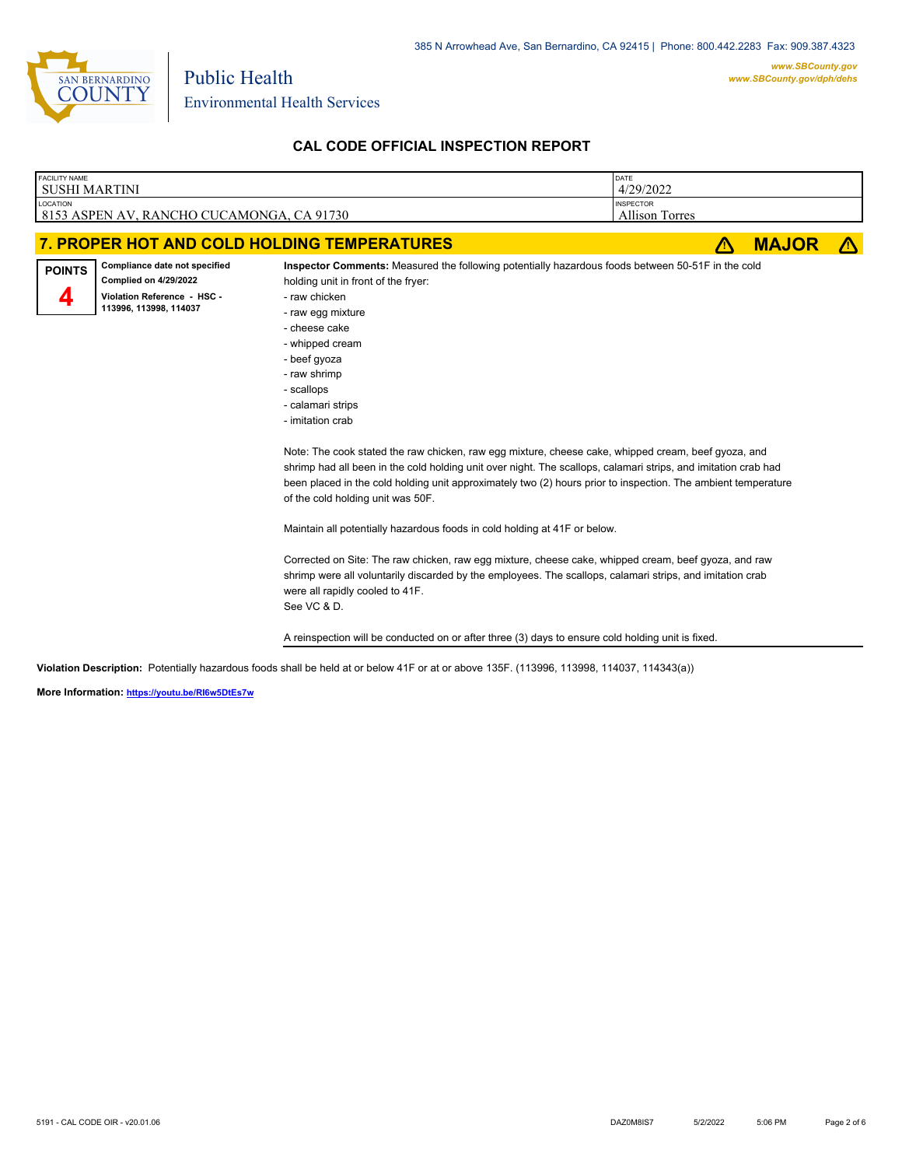

Environmental Health Services

Public Health

# **CAL CODE OFFICIAL INSPECTION REPORT**

| <b>FACILITY NAME</b><br><b>SUSHI MARTINI</b> |                                                                                                                        |                                                                                                                                                                                                                                                                                                                                                                                                                                                                                                                                    | DATE<br>4/29/2022                  |              |  |
|----------------------------------------------|------------------------------------------------------------------------------------------------------------------------|------------------------------------------------------------------------------------------------------------------------------------------------------------------------------------------------------------------------------------------------------------------------------------------------------------------------------------------------------------------------------------------------------------------------------------------------------------------------------------------------------------------------------------|------------------------------------|--------------|--|
| LOCATION                                     | 8153 ASPEN AV, RANCHO CUCAMONGA, CA 91730                                                                              |                                                                                                                                                                                                                                                                                                                                                                                                                                                                                                                                    | <b>INSPECTOR</b><br>Allison Torres |              |  |
|                                              |                                                                                                                        | 7. PROPER HOT AND COLD HOLDING TEMPERATURES                                                                                                                                                                                                                                                                                                                                                                                                                                                                                        |                                    | <b>MAJOR</b> |  |
| <b>POINTS</b>                                | Compliance date not specified<br><b>Complied on 4/29/2022</b><br>Violation Reference - HSC -<br>113996, 113998, 114037 | Inspector Comments: Measured the following potentially hazardous foods between 50-51F in the cold<br>holding unit in front of the fryer:<br>- raw chicken<br>- raw egg mixture<br>- cheese cake<br>- whipped cream<br>- beef gyoza<br>- raw shrimp<br>- scallops<br>- calamari strips<br>- imitation crab<br>Note: The cook stated the raw chicken, raw egg mixture, cheese cake, whipped cream, beef gyoza, and<br>shrimp had all been in the cold holding unit over night. The scallops, calamari strips, and imitation crab had |                                    |              |  |

been placed in the cold holding unit approximately two (2) hours prior to inspection. The ambient temperature of the cold holding unit was 50F.

Maintain all potentially hazardous foods in cold holding at 41F or below.

Corrected on Site: The raw chicken, raw egg mixture, cheese cake, whipped cream, beef gyoza, and raw shrimp were all voluntarily discarded by the employees. The scallops, calamari strips, and imitation crab were all rapidly cooled to 41F. See VC & D.

A reinspection will be conducted on or after three (3) days to ensure cold holding unit is fixed.

**Violation Description:** Potentially hazardous foods shall be held at or below 41F or at or above 135F. (113996, 113998, 114037, 114343(a))

**More Information: <https://youtu.be/RI6w5DtEs7w>**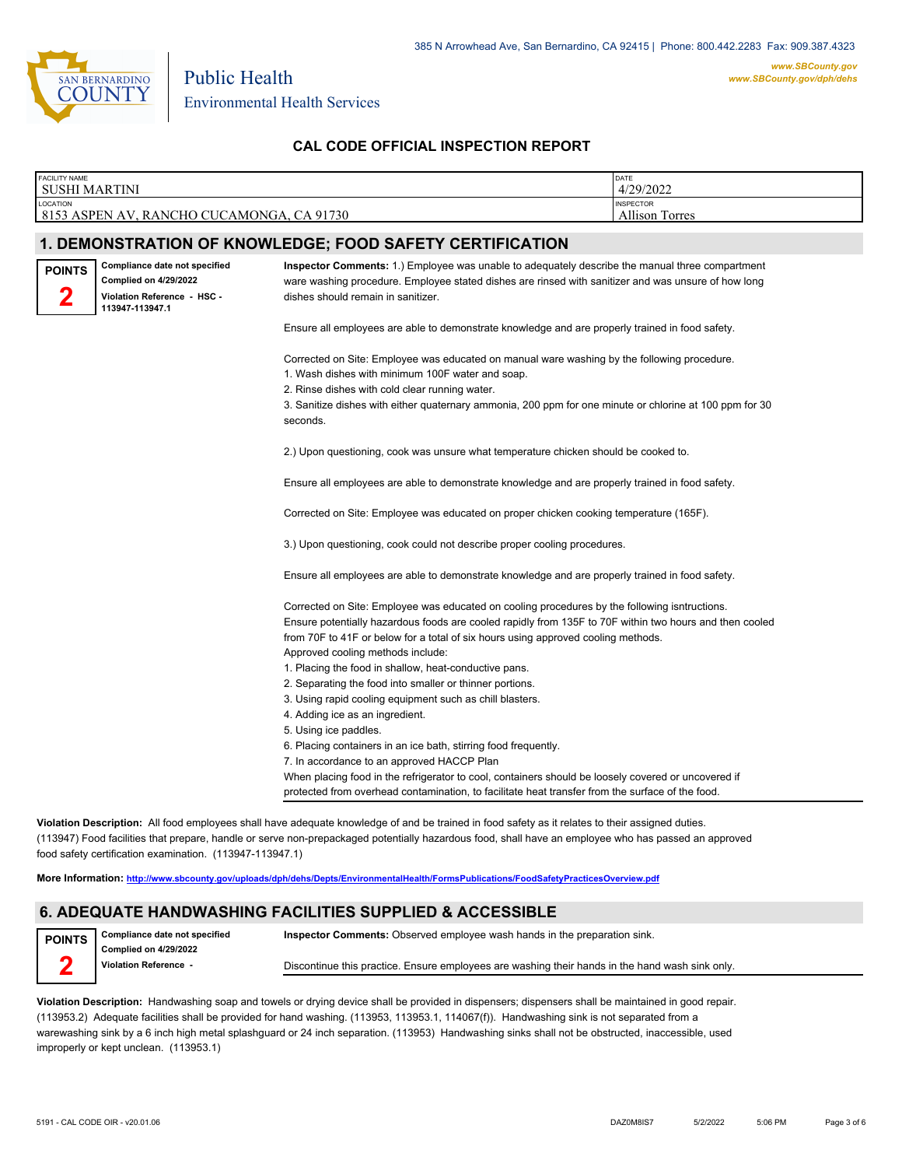

| <b>SUSHI MARTINI</b>                                                                |                                                                                                                                                                                                   | DATE<br>4/29/2022                  |
|-------------------------------------------------------------------------------------|---------------------------------------------------------------------------------------------------------------------------------------------------------------------------------------------------|------------------------------------|
| LOCATION<br>8153 ASPEN AV, RANCHO CUCAMONGA, CA 91730                               |                                                                                                                                                                                                   | <b>INSPECTOR</b><br>Allison Torres |
|                                                                                     |                                                                                                                                                                                                   |                                    |
|                                                                                     | 1. DEMONSTRATION OF KNOWLEDGE; FOOD SAFETY CERTIFICATION                                                                                                                                          |                                    |
| Compliance date not specified<br><b>POINTS</b>                                      | Inspector Comments: 1.) Employee was unable to adequately describe the manual three compartment                                                                                                   |                                    |
| <b>Complied on 4/29/2022</b><br>2<br>Violation Reference - HSC -<br>113947-113947.1 | ware washing procedure. Employee stated dishes are rinsed with sanitizer and was unsure of how long<br>dishes should remain in sanitizer.                                                         |                                    |
|                                                                                     | Ensure all employees are able to demonstrate knowledge and are properly trained in food safety.                                                                                                   |                                    |
|                                                                                     | Corrected on Site: Employee was educated on manual ware washing by the following procedure.<br>1. Wash dishes with minimum 100F water and soap.<br>2. Rinse dishes with cold clear running water. |                                    |
|                                                                                     | 3. Sanitize dishes with either quaternary ammonia, 200 ppm for one minute or chlorine at 100 ppm for 30<br>seconds.                                                                               |                                    |
|                                                                                     | 2.) Upon questioning, cook was unsure what temperature chicken should be cooked to.                                                                                                               |                                    |
|                                                                                     | Ensure all employees are able to demonstrate knowledge and are properly trained in food safety.                                                                                                   |                                    |
|                                                                                     | Corrected on Site: Employee was educated on proper chicken cooking temperature (165F).                                                                                                            |                                    |
|                                                                                     | 3.) Upon questioning, cook could not describe proper cooling procedures.                                                                                                                          |                                    |
|                                                                                     | Ensure all employees are able to demonstrate knowledge and are properly trained in food safety.                                                                                                   |                                    |
|                                                                                     | Corrected on Site: Employee was educated on cooling procedures by the following isntructions.                                                                                                     |                                    |
|                                                                                     | Ensure potentially hazardous foods are cooled rapidly from 135F to 70F within two hours and then cooled                                                                                           |                                    |
|                                                                                     | from 70F to 41F or below for a total of six hours using approved cooling methods.                                                                                                                 |                                    |
|                                                                                     | Approved cooling methods include:                                                                                                                                                                 |                                    |
|                                                                                     | 1. Placing the food in shallow, heat-conductive pans.                                                                                                                                             |                                    |
|                                                                                     | 2. Separating the food into smaller or thinner portions.                                                                                                                                          |                                    |
|                                                                                     | 3. Using rapid cooling equipment such as chill blasters.                                                                                                                                          |                                    |
|                                                                                     | 4. Adding ice as an ingredient.                                                                                                                                                                   |                                    |
|                                                                                     | 5. Using ice paddles.                                                                                                                                                                             |                                    |
|                                                                                     | 6. Placing containers in an ice bath, stirring food frequently.                                                                                                                                   |                                    |
|                                                                                     | 7. In accordance to an approved HACCP Plan                                                                                                                                                        |                                    |
|                                                                                     | When placing food in the refrigerator to cool, containers should be loosely covered or uncovered if                                                                                               |                                    |
|                                                                                     | protected from overhead contamination, to facilitate heat transfer from the surface of the food.                                                                                                  |                                    |

food safety certification examination. (113947-113947.1)

**More Information: <http://www.sbcounty.gov/uploads/dph/dehs/Depts/EnvironmentalHealth/FormsPublications/FoodSafetyPracticesOverview.pdf>**

### **6. ADEQUATE HANDWASHING FACILITIES SUPPLIED & ACCESSIBLE**

**Compliance date not specified Complied on 4/29/2022 Violation Reference - POINTS**

**Inspector Comments:** Observed employee wash hands in the preparation sink.

Discontinue this practice. Ensure employees are washing their hands in the hand wash sink only.

**Violation Description:** Handwashing soap and towels or drying device shall be provided in dispensers; dispensers shall be maintained in good repair. (113953.2) Adequate facilities shall be provided for hand washing. (113953, 113953.1, 114067(f)). Handwashing sink is not separated from a warewashing sink by a 6 inch high metal splashguard or 24 inch separation. (113953) Handwashing sinks shall not be obstructed, inaccessible, used improperly or kept unclean. (113953.1)

**2**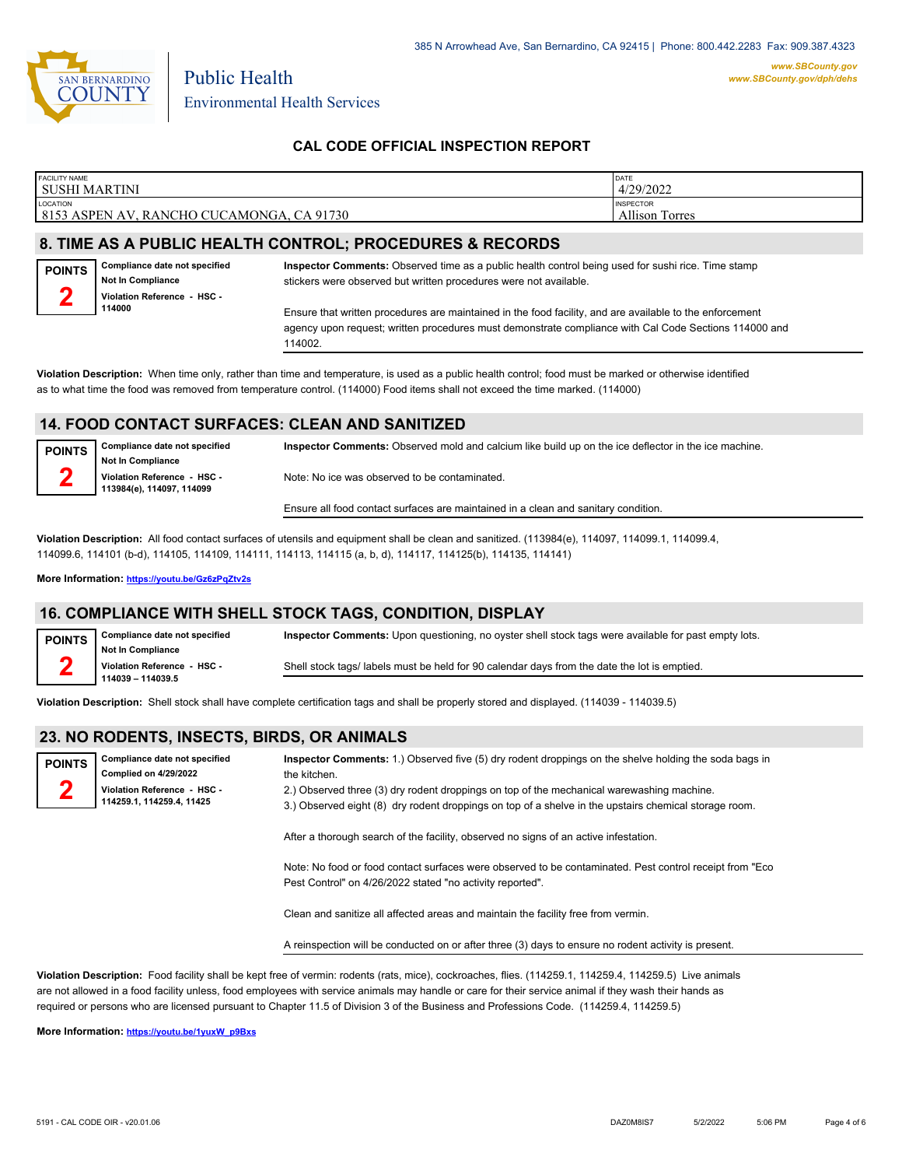

| <b>FACILITY NAME</b><br>l SUSHI MARTINI |                                                                                          |                                                                                                                                                                                                                   | DATE<br>4/29/2022                  |
|-----------------------------------------|------------------------------------------------------------------------------------------|-------------------------------------------------------------------------------------------------------------------------------------------------------------------------------------------------------------------|------------------------------------|
| LOCATION                                | 8153 ASPEN AV, RANCHO CUCAMONGA, CA 91730                                                |                                                                                                                                                                                                                   | <b>INSPECTOR</b><br>Allison Torres |
|                                         |                                                                                          | 8. TIME AS A PUBLIC HEALTH CONTROL; PROCEDURES & RECORDS                                                                                                                                                          |                                    |
| <b>POINTS</b><br>Ω                      | Compliance date not specified<br><b>Not In Compliance</b><br>Violation Reference - HSC - | Inspector Comments: Observed time as a public health control being used for sushi rice. Time stamp<br>stickers were observed but written procedures were not available.                                           |                                    |
|                                         | 114000                                                                                   | Ensure that written procedures are maintained in the food facility, and are available to the enforcement<br>agency upon request; written procedures must demonstrate compliance with Cal Code Sections 114000 and |                                    |

114002.

**Violation Description:** When time only, rather than time and temperature, is used as a public health control; food must be marked or otherwise identified as to what time the food was removed from temperature control. (114000) Food items shall not exceed the time marked. (114000)

#### **14. FOOD CONTACT SURFACES: CLEAN AND SANITIZED**

| <b>POINTS</b> | Compliance date not specified<br>Not In Compliance       | Inspector Comments: Observed mold and calcium like build up on the ice deflector in the ice machine. |
|---------------|----------------------------------------------------------|------------------------------------------------------------------------------------------------------|
|               | Violation Reference - HSC -<br>113984(e), 114097, 114099 | Note: No ice was observed to be contaminated.                                                        |
|               |                                                          | Ensure all food contact surfaces are maintained in a clean and sanitary condition.                   |

**Violation Description:** All food contact surfaces of utensils and equipment shall be clean and sanitized. (113984(e), 114097, 114099.1, 114099.4, 114099.6, 114101 (b-d), 114105, 114109, 114111, 114113, 114115 (a, b, d), 114117, 114125(b), 114135, 114141)

**More Information: <https://youtu.be/Gz6zPqZtv2s>**

### **16. COMPLIANCE WITH SHELL STOCK TAGS, CONDITION, DISPLAY**

| <b>POINTS</b> | Compliance date not specified | Inspector Comments: Upon questioning, no oyster shell stock tags were available for past empty lots. |
|---------------|-------------------------------|------------------------------------------------------------------------------------------------------|
|               | <b>Not In Compliance</b>      |                                                                                                      |
|               | Violation Reference - HSC -   | Shell stock tags/ labels must be held for 90 calendar days from the date the lot is emptied.         |
|               | 114039 - 114039.5             |                                                                                                      |

**Violation Description:** Shell stock shall have complete certification tags and shall be properly stored and displayed. (114039 - 114039.5)

## **23. NO RODENTS, INSECTS, BIRDS, OR ANIMALS**

| <b>POINTS</b> | Compliance date not specified                            | Inspector Comments: 1.) Observed five (5) dry rodent droppings on the shelve holding the soda bags in                                                                                              |
|---------------|----------------------------------------------------------|----------------------------------------------------------------------------------------------------------------------------------------------------------------------------------------------------|
|               | Complied on 4/29/2022                                    | the kitchen.                                                                                                                                                                                       |
|               | Violation Reference - HSC -<br>114259.1, 114259.4, 11425 | 2.) Observed three (3) dry rodent droppings on top of the mechanical warewashing machine.<br>3.) Observed eight (8) dry rodent droppings on top of a shelve in the upstairs chemical storage room. |
|               |                                                          |                                                                                                                                                                                                    |

After a thorough search of the facility, observed no signs of an active infestation.

Note: No food or food contact surfaces were observed to be contaminated. Pest control receipt from "Eco Pest Control" on 4/26/2022 stated "no activity reported".

Clean and sanitize all affected areas and maintain the facility free from vermin.

A reinspection will be conducted on or after three (3) days to ensure no rodent activity is present.

**Violation Description:** Food facility shall be kept free of vermin: rodents (rats, mice), cockroaches, flies. (114259.1, 114259.4, 114259.5) Live animals are not allowed in a food facility unless, food employees with service animals may handle or care for their service animal if they wash their hands as required or persons who are licensed pursuant to Chapter 11.5 of Division 3 of the Business and Professions Code. (114259.4, 114259.5)

**More Information: [https://youtu.be/1yuxW\\_p9Bxs](https://youtu.be/1yuxW_p9Bxs)**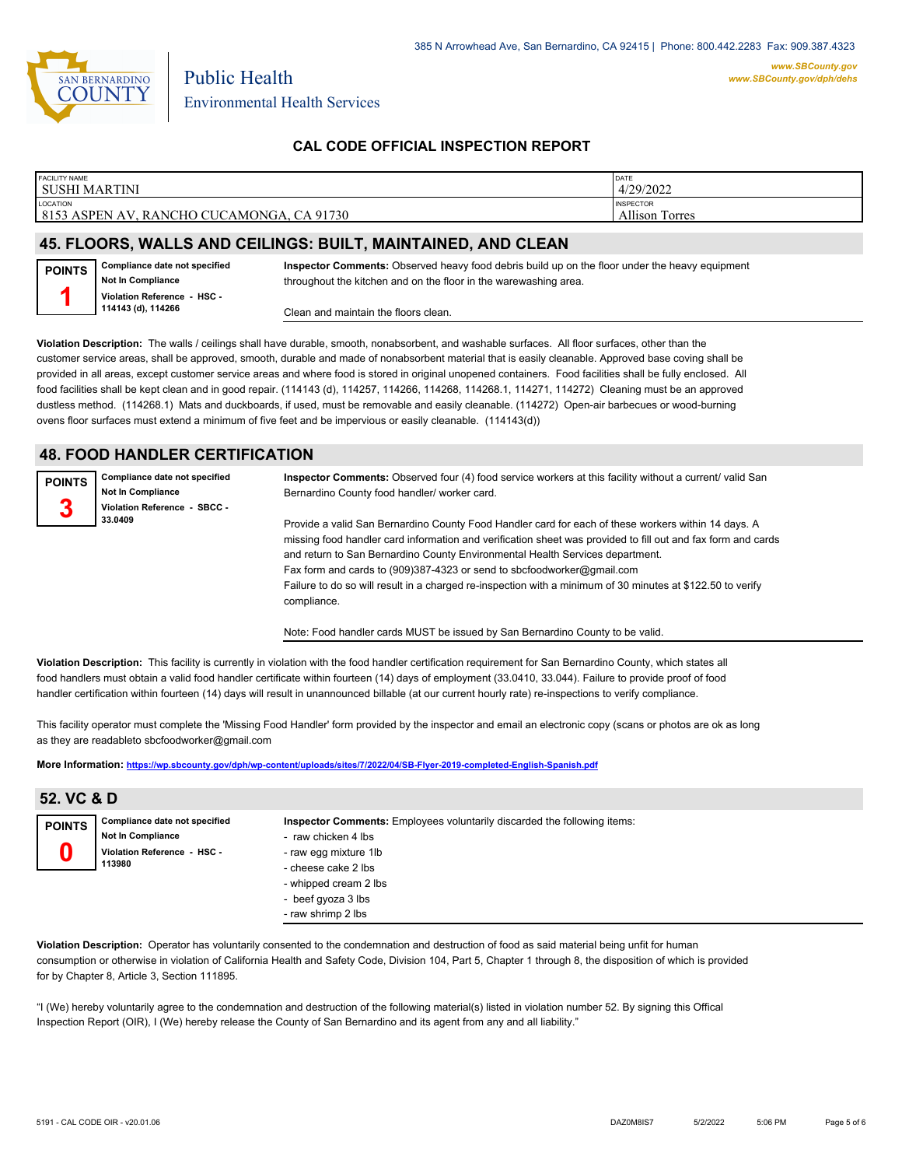

| <b>FACILITY NAME</b>                      | DATE                  |
|-------------------------------------------|-----------------------|
| SUSHI MARTINI                             | 4/29/2022             |
| LOCATION                                  | <b>INSPECTOR</b>      |
| 8153 ASPEN AV, RANCHO CUCAMONGA, CA 91730 | <b>Allison Torres</b> |
|                                           |                       |

#### **45. FLOORS, WALLS AND CEILINGS: BUILT, MAINTAINED, AND CLEAN**

| <b>POINTS</b> | Compliance date not specified |
|---------------|-------------------------------|
|               | Not In Compliance             |
|               | Violation Reference - HSC -   |
|               | 114143 (d), 114266            |

**Inspector Comments:** Observed heavy food debris build up on the floor under the heavy equipment throughout the kitchen and on the floor in the warewashing area.

Clean and maintain the floors clean.

**Violation Description:** The walls / ceilings shall have durable, smooth, nonabsorbent, and washable surfaces. All floor surfaces, other than the customer service areas, shall be approved, smooth, durable and made of nonabsorbent material that is easily cleanable. Approved base coving shall be provided in all areas, except customer service areas and where food is stored in original unopened containers. Food facilities shall be fully enclosed. All food facilities shall be kept clean and in good repair. (114143 (d), 114257, 114266, 114268, 114268, 114271, 114272) Cleaning must be an approved dustless method. (114268.1) Mats and duckboards, if used, must be removable and easily cleanable. (114272) Open-air barbecues or wood-burning ovens floor surfaces must extend a minimum of five feet and be impervious or easily cleanable. (114143(d))

#### **48. FOOD HANDLER CERTIFICATION**

| <b>POINTS</b> | Compliance date not specified | Inspector Comments: Observed four (4) food service workers at this facility without a current/ valid San     |
|---------------|-------------------------------|--------------------------------------------------------------------------------------------------------------|
|               | <b>Not In Compliance</b>      | Bernardino County food handler/worker card.                                                                  |
|               | Violation Reference - SBCC -  |                                                                                                              |
|               | 33.0409                       | Provide a valid San Bernardino County Food Handler card for each of these workers within 14 days. A          |
|               |                               | missing food handler card information and verification sheet was provided to fill out and fax form and cards |
|               |                               | and return to San Bernardino County Environmental Health Services department.                                |
|               |                               | Fax form and cards to (909)387-4323 or send to sbcfoodworker@gmail.com                                       |
|               |                               | Failure to do so will result in a charged re-inspection with a minimum of 30 minutes at \$122.50 to verify   |
|               |                               | compliance.                                                                                                  |

Note: Food handler cards MUST be issued by San Bernardino County to be valid.

**Violation Description:** This facility is currently in violation with the food handler certification requirement for San Bernardino County, which states all food handlers must obtain a valid food handler certificate within fourteen (14) days of employment (33.0410, 33.044). Failure to provide proof of food handler certification within fourteen (14) days will result in unannounced billable (at our current hourly rate) re-inspections to verify compliance.

This facility operator must complete the 'Missing Food Handler' form provided by the inspector and email an electronic copy (scans or photos are ok as long as they are readableto sbcfoodworker@gmail.com

**More Information: <https://wp.sbcounty.gov/dph/wp-content/uploads/sites/7/2022/04/SB-Flyer-2019-completed-English-Spanish.pdf>**

| 52. VC & D    |                                                                                                    |                                                                                                                                                                                                                      |  |
|---------------|----------------------------------------------------------------------------------------------------|----------------------------------------------------------------------------------------------------------------------------------------------------------------------------------------------------------------------|--|
| <b>POINTS</b> | Compliance date not specified<br><b>Not In Compliance</b><br>Violation Reference - HSC -<br>113980 | Inspector Comments: Employees voluntarily discarded the following items:<br>- raw chicken 4 lbs<br>- raw egg mixture 1lb<br>- cheese cake 2 lbs<br>- whipped cream 2 lbs<br>- beef gyoza 3 lbs<br>- raw shrimp 2 lbs |  |

**Violation Description:** Operator has voluntarily consented to the condemnation and destruction of food as said material being unfit for human consumption or otherwise in violation of California Health and Safety Code, Division 104, Part 5, Chapter 1 through 8, the disposition of which is provided for by Chapter 8, Article 3, Section 111895.

"I (We) hereby voluntarily agree to the condemnation and destruction of the following material(s) listed in violation number 52. By signing this Offical Inspection Report (OIR), I (We) hereby release the County of San Bernardino and its agent from any and all liability."